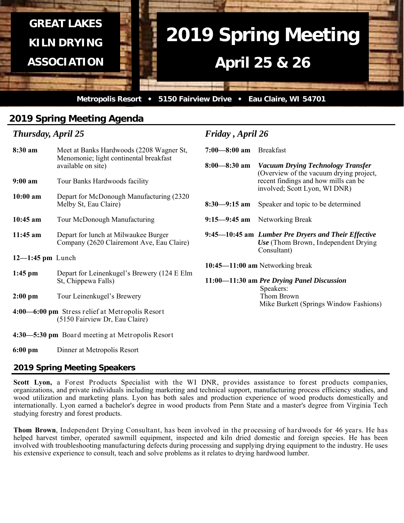

*Friday , April 26* 

# **2019 Spring Meeting Agenda**

## *Thursday, April 25*

| 8:30 am                                         | Meet at Banks Hardwoods (2208 Wagner St,<br>Menomonie; light continental breakfast<br>available on site) | $7:00 - 8:00$ am Breakfast |                                                                                                            |  |  |  |
|-------------------------------------------------|----------------------------------------------------------------------------------------------------------|----------------------------|------------------------------------------------------------------------------------------------------------|--|--|--|
|                                                 |                                                                                                          | $8:00 - 8:30$ am           | <b>Vacuum Drying Technology Transfer</b><br>(Overview of the vacuum drying project,                        |  |  |  |
| $9:00$ am                                       | Tour Banks Hardwoods facility                                                                            |                            | recent findings and how mills can be<br>involved; Scott Lyon, WI DNR)                                      |  |  |  |
| $10:00$ am                                      | Depart for McDonough Manufacturing (2320)<br>Melby St, Eau Claire)                                       | $8:30 - 9:15$ am           | Speaker and topic to be determined                                                                         |  |  |  |
| $10:45$ am                                      | Tour McDonough Manufacturing                                                                             |                            | 9:15—9:45 am Networking Break                                                                              |  |  |  |
| $11:45$ am                                      | Depart for lunch at Milwaukee Burger<br>Company (2620 Clairemont Ave, Eau Claire)                        |                            | 9:45–10:45 am Lumber Pre Dryers and Their Effective<br>Use (Thom Brown, Independent Drying)<br>Consultant) |  |  |  |
| $12 - 1:45$ pm Lunch                            |                                                                                                          |                            |                                                                                                            |  |  |  |
| $1:45$ pm                                       | Depart for Leinenkugel's Brewery (124 E Elm<br>St, Chippewa Falls)                                       |                            | $10:45 - 11:00$ am Networking break<br>11:00-11:30 am Pre Drying Panel Discussion<br>Speakers:             |  |  |  |
| $2:00$ pm                                       | Tour Leinenkugel's Brewery                                                                               |                            | Thom Brown                                                                                                 |  |  |  |
|                                                 | 4:00—6:00 pm Stress relief at Metropolis Resort<br>(5150 Fairview Dr, Eau Claire)                        |                            | Mike Burkett (Springs Window Fashions)                                                                     |  |  |  |
| 4:30—5:30 pm Board meeting at Metropolis Resort |                                                                                                          |                            |                                                                                                            |  |  |  |
| $6:00 \text{ pm}$                               | Dinner at Metropolis Resort                                                                              |                            |                                                                                                            |  |  |  |

## **2019 Spring Meeting Speakers**

Scott Lyon, a Forest Products Specialist with the WI DNR, provides assistance to forest products companies, organizations, and private individuals including marketing and technical support, manufacturing process efficiency studies, and wood utilization and marketing plans. Lyon has both sales and production experience of wood products domestically and internationally. Lyon earned a bachelor's degree in wood products from Penn State and a master's degree from Virginia Tech studying forestry and forest products.

**Thom Brown**, Independent Drying Consultant, has been involved in the processing of hardwoods for 46 years. He has helped harvest timber, operated sawmill equipment, inspected and kiln dried domestic and foreign species. He has been involved with troubleshooting manufacturing defects during processing and supplying drying equipment to the industry. He uses his extensive experience to consult, teach and solve problems as it relates to drying hardwood lumber.